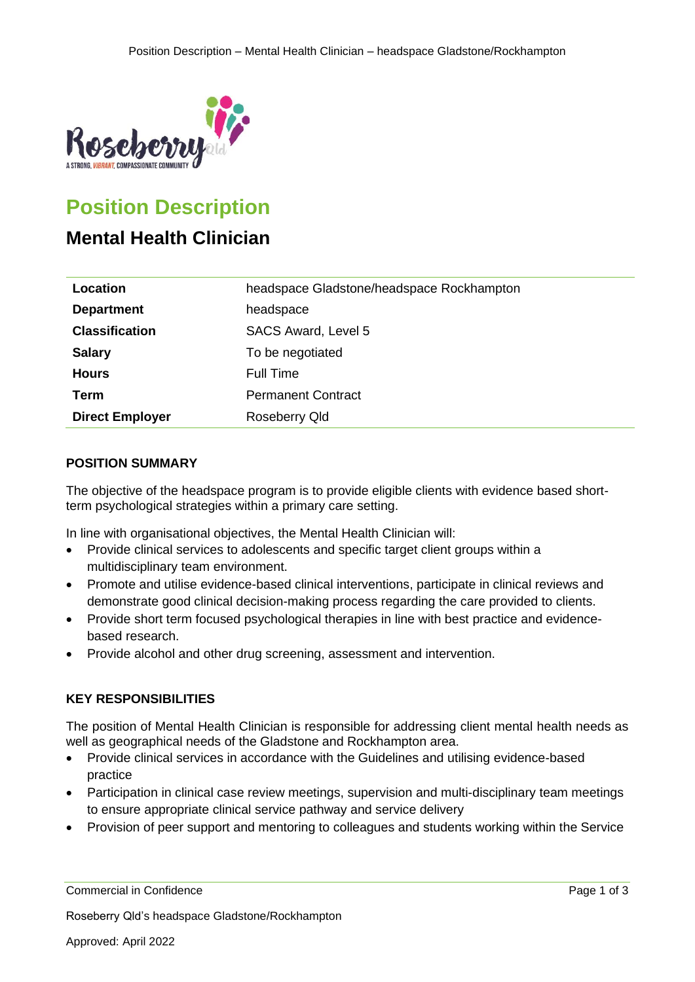

# **Position Description**

# **Mental Health Clinician**

| Location               | headspace Gladstone/headspace Rockhampton |
|------------------------|-------------------------------------------|
| <b>Department</b>      | headspace                                 |
| <b>Classification</b>  | <b>SACS Award, Level 5</b>                |
| <b>Salary</b>          | To be negotiated                          |
| <b>Hours</b>           | <b>Full Time</b>                          |
| Term                   | <b>Permanent Contract</b>                 |
| <b>Direct Employer</b> | Roseberry Qld                             |

# **POSITION SUMMARY**

The objective of the headspace program is to provide eligible clients with evidence based shortterm psychological strategies within a primary care setting.

In line with organisational objectives, the Mental Health Clinician will:

- Provide clinical services to adolescents and specific target client groups within a multidisciplinary team environment.
- Promote and utilise evidence-based clinical interventions, participate in clinical reviews and demonstrate good clinical decision-making process regarding the care provided to clients.
- Provide short term focused psychological therapies in line with best practice and evidencebased research.
- Provide alcohol and other drug screening, assessment and intervention.

# **KEY RESPONSIBILITIES**

The position of Mental Health Clinician is responsible for addressing client mental health needs as well as geographical needs of the Gladstone and Rockhampton area.

- Provide clinical services in accordance with the Guidelines and utilising evidence-based practice
- Participation in clinical case review meetings, supervision and multi-disciplinary team meetings to ensure appropriate clinical service pathway and service delivery
- Provision of peer support and mentoring to colleagues and students working within the Service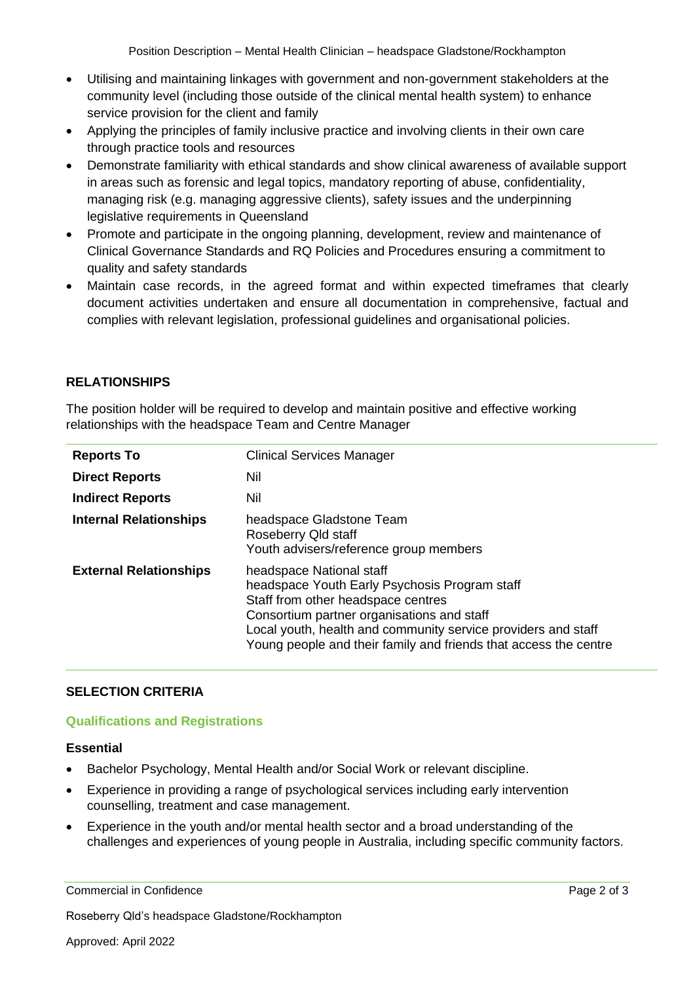Position Description – Mental Health Clinician – headspace Gladstone/Rockhampton

- Utilising and maintaining linkages with government and non-government stakeholders at the community level (including those outside of the clinical mental health system) to enhance service provision for the client and family
- Applying the principles of family inclusive practice and involving clients in their own care through practice tools and resources
- Demonstrate familiarity with ethical standards and show clinical awareness of available support in areas such as forensic and legal topics, mandatory reporting of abuse, confidentiality, managing risk (e.g. managing aggressive clients), safety issues and the underpinning legislative requirements in Queensland
- Promote and participate in the ongoing planning, development, review and maintenance of Clinical Governance Standards and RQ Policies and Procedures ensuring a commitment to quality and safety standards
- Maintain case records, in the agreed format and within expected timeframes that clearly document activities undertaken and ensure all documentation in comprehensive, factual and complies with relevant legislation, professional guidelines and organisational policies.

# **RELATIONSHIPS**

The position holder will be required to develop and maintain positive and effective working relationships with the headspace Team and Centre Manager

| <b>Reports To</b>             | <b>Clinical Services Manager</b>                                                                                                                                                                                                                                                                   |
|-------------------------------|----------------------------------------------------------------------------------------------------------------------------------------------------------------------------------------------------------------------------------------------------------------------------------------------------|
| <b>Direct Reports</b>         | Nil                                                                                                                                                                                                                                                                                                |
| <b>Indirect Reports</b>       | Nil                                                                                                                                                                                                                                                                                                |
| <b>Internal Relationships</b> | headspace Gladstone Team<br>Roseberry Qld staff<br>Youth advisers/reference group members                                                                                                                                                                                                          |
| <b>External Relationships</b> | headspace National staff<br>headspace Youth Early Psychosis Program staff<br>Staff from other headspace centres<br>Consortium partner organisations and staff<br>Local youth, health and community service providers and staff<br>Young people and their family and friends that access the centre |

# **SELECTION CRITERIA**

# **Qualifications and Registrations**

# **Essential**

- Bachelor Psychology, Mental Health and/or Social Work or relevant discipline.
- Experience in providing a range of psychological services including early intervention counselling, treatment and case management.
- Experience in the youth and/or mental health sector and a broad understanding of the challenges and experiences of young people in Australia, including specific community factors.

Commercial in Confidence **Page 2 of 3** Commercial in Confidence

Roseberry Qld's headspace Gladstone/Rockhampton